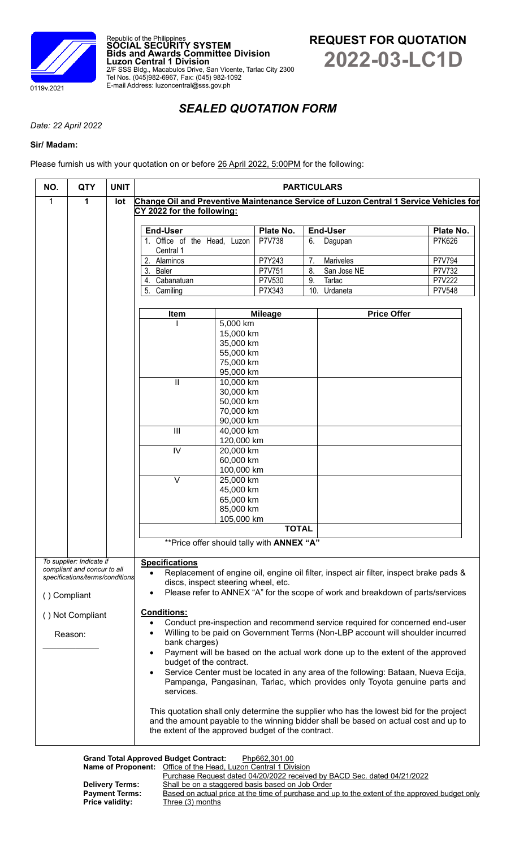

Republic of the Philippines **SOCIAL SECURITY SYSTEM Bids and Awards Committee Division Luzon Central 1 Division** 2/F SSS Bldg., Macabulos Drive, San Vicente, Tarlac City 2300 Tel Nos. (045)982-6967, Fax: (045) 982-1092 E-mail Address: luzoncentral@sss.gov.ph

# *SEALED QUOTATION FORM*

*Date: 22 April 2022*

# **Sir/ Madam:**

Please furnish us with your quotation on or before 26 April 2022, 5:00PM for the following:

| NO.                                                                                                                                 | <b>QTY</b>                      | <b>UNIT</b>                                | <b>PARTICULARS</b>                                                                                                            |                         |                  |                                             |                  |
|-------------------------------------------------------------------------------------------------------------------------------------|---------------------------------|--------------------------------------------|-------------------------------------------------------------------------------------------------------------------------------|-------------------------|------------------|---------------------------------------------|------------------|
| $\mathbf{1}$                                                                                                                        | $\mathbf{1}$                    | lot                                        | Change Oil and Preventive Maintenance Service of Luzon Central 1 Service Vehicles for                                         |                         |                  |                                             |                  |
|                                                                                                                                     | CY 2022 for the following:      |                                            |                                                                                                                               |                         |                  |                                             |                  |
|                                                                                                                                     |                                 |                                            | <b>End-User</b>                                                                                                               |                         | Plate No.        | <b>End-User</b>                             | Plate No.        |
|                                                                                                                                     |                                 |                                            | 1. Office of the Head, Luzon                                                                                                  |                         | P7V738           | 6.<br>Dagupan                               | P7K626           |
|                                                                                                                                     |                                 |                                            | Central 1<br>2. Alaminos                                                                                                      |                         |                  |                                             |                  |
|                                                                                                                                     |                                 |                                            | 3. Baler                                                                                                                      |                         | P7Y243<br>P7V751 | 7.<br><b>Mariveles</b><br>8.<br>San Jose NE | P7V794<br>P7V732 |
|                                                                                                                                     |                                 |                                            | 4. Cabanatuan                                                                                                                 |                         | P7V530           | 9.<br>Tarlac                                | P7V222           |
|                                                                                                                                     |                                 |                                            | 5. Camiling                                                                                                                   |                         | P7X343           | 10.<br>Urdaneta                             | P7V548           |
|                                                                                                                                     |                                 |                                            |                                                                                                                               |                         |                  |                                             |                  |
|                                                                                                                                     |                                 |                                            | Item                                                                                                                          | 5,000 km                | <b>Mileage</b>   | <b>Price Offer</b>                          |                  |
|                                                                                                                                     |                                 |                                            |                                                                                                                               | 15,000 km               |                  |                                             |                  |
|                                                                                                                                     |                                 |                                            |                                                                                                                               | 35,000 km               |                  |                                             |                  |
|                                                                                                                                     |                                 |                                            |                                                                                                                               | 55,000 km               |                  |                                             |                  |
|                                                                                                                                     |                                 |                                            |                                                                                                                               | 75,000 km<br>95,000 km  |                  |                                             |                  |
|                                                                                                                                     |                                 |                                            | $\mathbf{  }$                                                                                                                 | 10,000 km               |                  |                                             |                  |
|                                                                                                                                     |                                 |                                            |                                                                                                                               | 30,000 km               |                  |                                             |                  |
|                                                                                                                                     |                                 |                                            |                                                                                                                               | 50,000 km               |                  |                                             |                  |
|                                                                                                                                     |                                 |                                            |                                                                                                                               | 70,000 km<br>90,000 km  |                  |                                             |                  |
|                                                                                                                                     |                                 |                                            | $\mathbf{III}$                                                                                                                | 40,000 km               |                  |                                             |                  |
|                                                                                                                                     |                                 |                                            |                                                                                                                               | 120,000 km              |                  |                                             |                  |
|                                                                                                                                     |                                 |                                            | $\overline{N}$                                                                                                                | 20,000 km               |                  |                                             |                  |
|                                                                                                                                     |                                 |                                            |                                                                                                                               | 60,000 km<br>100,000 km |                  |                                             |                  |
|                                                                                                                                     |                                 |                                            | $\overline{\vee}$                                                                                                             | 25,000 km               |                  |                                             |                  |
|                                                                                                                                     |                                 |                                            |                                                                                                                               | 45,000 km               |                  |                                             |                  |
|                                                                                                                                     |                                 |                                            |                                                                                                                               | 65,000 km               |                  |                                             |                  |
|                                                                                                                                     |                                 |                                            |                                                                                                                               | 85,000 km<br>105,000 km |                  |                                             |                  |
|                                                                                                                                     |                                 |                                            | <b>TOTAL</b>                                                                                                                  |                         |                  |                                             |                  |
|                                                                                                                                     |                                 | ** Price offer should tally with ANNEX "A" |                                                                                                                               |                         |                  |                                             |                  |
|                                                                                                                                     |                                 |                                            |                                                                                                                               |                         |                  |                                             |                  |
| To supplier: Indicate if<br><b>Specifications</b><br>compliant and concur to all                                                    |                                 |                                            |                                                                                                                               |                         |                  |                                             |                  |
|                                                                                                                                     | specifications/terms/conditions |                                            | Replacement of engine oil, engine oil filter, inspect air filter, inspect brake pads &<br>discs, inspect steering wheel, etc. |                         |                  |                                             |                  |
| () Compliant                                                                                                                        |                                 |                                            | Please refer to ANNEX "A" for the scope of work and breakdown of parts/services<br>$\bullet$                                  |                         |                  |                                             |                  |
|                                                                                                                                     |                                 |                                            |                                                                                                                               |                         |                  |                                             |                  |
| <b>Conditions:</b><br>() Not Compliant<br>Conduct pre-inspection and recommend service required for concerned end-user<br>$\bullet$ |                                 |                                            |                                                                                                                               |                         |                  |                                             |                  |
|                                                                                                                                     | Reason:                         |                                            | Willing to be paid on Government Terms (Non-LBP account will shoulder incurred<br>$\bullet$                                   |                         |                  |                                             |                  |
|                                                                                                                                     |                                 |                                            | bank charges)                                                                                                                 |                         |                  |                                             |                  |
|                                                                                                                                     |                                 |                                            | Payment will be based on the actual work done up to the extent of the approved<br>٠                                           |                         |                  |                                             |                  |
|                                                                                                                                     |                                 |                                            | budget of the contract.<br>Service Center must be located in any area of the following: Bataan, Nueva Ecija,                  |                         |                  |                                             |                  |
|                                                                                                                                     |                                 |                                            | Pampanga, Pangasinan, Tarlac, which provides only Toyota genuine parts and                                                    |                         |                  |                                             |                  |
|                                                                                                                                     |                                 |                                            | services.                                                                                                                     |                         |                  |                                             |                  |
|                                                                                                                                     |                                 |                                            | This quotation shall only determine the supplier who has the lowest bid for the project                                       |                         |                  |                                             |                  |
|                                                                                                                                     |                                 |                                            | and the amount payable to the winning bidder shall be based on actual cost and up to                                          |                         |                  |                                             |                  |
|                                                                                                                                     |                                 |                                            | the extent of the approved budget of the contract.                                                                            |                         |                  |                                             |                  |
|                                                                                                                                     |                                 |                                            |                                                                                                                               |                         |                  |                                             |                  |

**Grand Total Approved Budget Contract:** Php662,301.00 **Name of Proponent:** Office of the Head, Luzon Central 1 Division

Purchase Request dated 04/20/2022 received by BACD Sec. dated 04/21/2022 Delivery Terms: Shall be on a staggered basis based on Job Order **Payment Terms:** Based on actual price at the time of purchase and up to the extent of the approved budget only **Price validity:** Three (3) months **Three (3) months**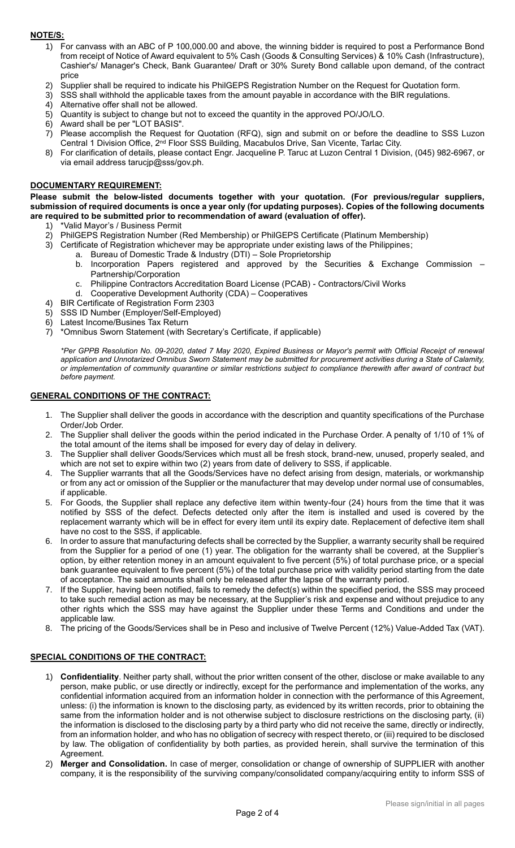## **NOTE/S:**

- 1) For canvass with an ABC of P 100,000.00 and above, the winning bidder is required to post a Performance Bond from receipt of Notice of Award equivalent to 5% Cash (Goods & Consulting Services) & 10% Cash (Infrastructure), Cashier's/ Manager's Check, Bank Guarantee/ Draft or 30% Surety Bond callable upon demand, of the contract price
- 2) Supplier shall be required to indicate his PhilGEPS Registration Number on the Request for Quotation form.
- 3) SSS shall withhold the applicable taxes from the amount payable in accordance with the BIR regulations.
- 4) Alternative offer shall not be allowed.
- 5) Quantity is subject to change but not to exceed the quantity in the approved PO/JO/LO.
- 6) Award shall be per "LOT BASIS".
- 7) Please accomplish the Request for Quotation (RFQ), sign and submit on or before the deadline to SSS Luzon Central 1 Division Office, 2nd Floor SSS Building, Macabulos Drive, San Vicente, Tarlac City.
- 8) For clarification of details, please contact Engr. Jacqueline P. Taruc at Luzon Central 1 Division, (045) 982-6967, or via email address tarucjp@sss/gov.ph.

#### **DOCUMENTARY REQUIREMENT:**

**Please submit the below-listed documents together with your quotation. (For previous/regular suppliers, submission of required documents is once a year only (for updating purposes). Copies of the following documents are required to be submitted prior to recommendation of award (evaluation of offer).**

- 1) \*Valid Mayor's / Business Permit
- 2) PhilGEPS Registration Number (Red Membership) or PhilGEPS Certificate (Platinum Membership)
- 3) Certificate of Registration whichever may be appropriate under existing laws of the Philippines;
	- a. Bureau of Domestic Trade & Industry (DTI) Sole Proprietorship
		- b. Incorporation Papers registered and approved by the Securities & Exchange Commission Partnership/Corporation
		- c. Philippine Contractors Accreditation Board License (PCAB) Contractors/Civil Works
	- d. Cooperative Development Authority (CDA) Cooperatives
- 4) BIR Certificate of Registration Form 2303
- 5) SSS ID Number (Employer/Self-Employed)
- 6) Latest Income/Busines Tax Return
- 7) \*Omnibus Sworn Statement (with Secretary's Certificate, if applicable)

*\*Per GPPB Resolution No. 09-2020, dated 7 May 2020, Expired Business or Mayor's permit with Official Receipt of renewal application and Unnotarized Omnibus Sworn Statement may be submitted for procurement activities during a State of Calamity, or implementation of community quarantine or similar restrictions subject to compliance therewith after award of contract but before payment.*

#### **GENERAL CONDITIONS OF THE CONTRACT:**

- 1. The Supplier shall deliver the goods in accordance with the description and quantity specifications of the Purchase Order/Job Order.
- 2. The Supplier shall deliver the goods within the period indicated in the Purchase Order. A penalty of 1/10 of 1% of the total amount of the items shall be imposed for every day of delay in delivery.
- 3. The Supplier shall deliver Goods/Services which must all be fresh stock, brand-new, unused, properly sealed, and which are not set to expire within two (2) years from date of delivery to SSS, if applicable.
- 4. The Supplier warrants that all the Goods/Services have no defect arising from design, materials, or workmanship or from any act or omission of the Supplier or the manufacturer that may develop under normal use of consumables, if applicable.
- 5. For Goods, the Supplier shall replace any defective item within twenty-four (24) hours from the time that it was notified by SSS of the defect. Defects detected only after the item is installed and used is covered by the replacement warranty which will be in effect for every item until its expiry date. Replacement of defective item shall have no cost to the SSS, if applicable.
- 6. In order to assure that manufacturing defects shall be corrected by the Supplier, a warranty security shall be required from the Supplier for a period of one (1) year. The obligation for the warranty shall be covered, at the Supplier's option, by either retention money in an amount equivalent to five percent (5%) of total purchase price, or a special bank guarantee equivalent to five percent (5%) of the total purchase price with validity period starting from the date of acceptance. The said amounts shall only be released after the lapse of the warranty period.
- 7. If the Supplier, having been notified, fails to remedy the defect(s) within the specified period, the SSS may proceed to take such remedial action as may be necessary, at the Supplier's risk and expense and without prejudice to any other rights which the SSS may have against the Supplier under these Terms and Conditions and under the applicable law.
- 8. The pricing of the Goods/Services shall be in Peso and inclusive of Twelve Percent (12%) Value-Added Tax (VAT).

## **SPECIAL CONDITIONS OF THE CONTRACT:**

- 1) **Confidentiality**. Neither party shall, without the prior written consent of the other, disclose or make available to any person, make public, or use directly or indirectly, except for the performance and implementation of the works, any confidential information acquired from an information holder in connection with the performance of this Agreement, unless: (i) the information is known to the disclosing party, as evidenced by its written records, prior to obtaining the same from the information holder and is not otherwise subject to disclosure restrictions on the disclosing party, (ii) the information is disclosed to the disclosing party by a third party who did not receive the same, directly or indirectly, from an information holder, and who has no obligation of secrecy with respect thereto, or (iii) required to be disclosed by law. The obligation of confidentiality by both parties, as provided herein, shall survive the termination of this Agreement.
- 2) **Merger and Consolidation.** In case of merger, consolidation or change of ownership of SUPPLIER with another company, it is the responsibility of the surviving company/consolidated company/acquiring entity to inform SSS of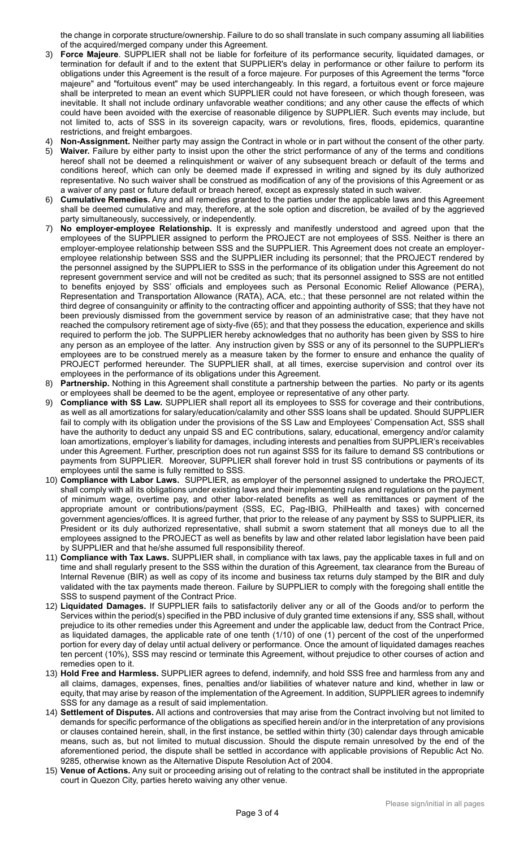the change in corporate structure/ownership. Failure to do so shall translate in such company assuming all liabilities of the acquired/merged company under this Agreement.

- 3) **Force Majeure**. SUPPLIER shall not be liable for forfeiture of its performance security, liquidated damages, or termination for default if and to the extent that SUPPLIER's delay in performance or other failure to perform its obligations under this Agreement is the result of a force majeure. For purposes of this Agreement the terms "force majeure" and "fortuitous event" may be used interchangeably. In this regard, a fortuitous event or force majeure shall be interpreted to mean an event which SUPPLIER could not have foreseen, or which though foreseen, was inevitable. It shall not include ordinary unfavorable weather conditions; and any other cause the effects of which could have been avoided with the exercise of reasonable diligence by SUPPLIER. Such events may include, but not limited to, acts of SSS in its sovereign capacity, wars or revolutions, fires, floods, epidemics, quarantine restrictions, and freight embargoes.
- 4) **Non-Assignment.** Neither party may assign the Contract in whole or in part without the consent of the other party.
- 5) **Waiver.** Failure by either party to insist upon the other the strict performance of any of the terms and conditions hereof shall not be deemed a relinquishment or waiver of any subsequent breach or default of the terms and conditions hereof, which can only be deemed made if expressed in writing and signed by its duly authorized representative. No such waiver shall be construed as modification of any of the provisions of this Agreement or as a waiver of any past or future default or breach hereof, except as expressly stated in such waiver.
- 6) **Cumulative Remedies.** Any and all remedies granted to the parties under the applicable laws and this Agreement shall be deemed cumulative and may, therefore, at the sole option and discretion, be availed of by the aggrieved party simultaneously, successively, or independently.
- 7) **No employer-employee Relationship.** It is expressly and manifestly understood and agreed upon that the employees of the SUPPLIER assigned to perform the PROJECT are not employees of SSS. Neither is there an employer-employee relationship between SSS and the SUPPLIER. This Agreement does not create an employeremployee relationship between SSS and the SUPPLIER including its personnel; that the PROJECT rendered by the personnel assigned by the SUPPLIER to SSS in the performance of its obligation under this Agreement do not represent government service and will not be credited as such; that its personnel assigned to SSS are not entitled to benefits enjoyed by SSS' officials and employees such as Personal Economic Relief Allowance (PERA), Representation and Transportation Allowance (RATA), ACA, etc.; that these personnel are not related within the third degree of consanguinity or affinity to the contracting officer and appointing authority of SSS; that they have not been previously dismissed from the government service by reason of an administrative case; that they have not reached the compulsory retirement age of sixty-five (65); and that they possess the education, experience and skills required to perform the job. The SUPPLIER hereby acknowledges that no authority has been given by SSS to hire any person as an employee of the latter. Any instruction given by SSS or any of its personnel to the SUPPLIER's employees are to be construed merely as a measure taken by the former to ensure and enhance the quality of PROJECT performed hereunder. The SUPPLIER shall, at all times, exercise supervision and control over its employees in the performance of its obligations under this Agreement.
- 8) **Partnership.** Nothing in this Agreement shall constitute a partnership between the parties. No party or its agents or employees shall be deemed to be the agent, employee or representative of any other party.
- 9) **Compliance with SS Law.** SUPPLIER shall report all its employees to SSS for coverage and their contributions, as well as all amortizations for salary/education/calamity and other SSS loans shall be updated. Should SUPPLIER fail to comply with its obligation under the provisions of the SS Law and Employees' Compensation Act, SSS shall have the authority to deduct any unpaid SS and EC contributions, salary, educational, emergency and/or calamity loan amortizations, employer's liability for damages, including interests and penalties from SUPPLIER's receivables under this Agreement. Further, prescription does not run against SSS for its failure to demand SS contributions or payments from SUPPLIER. Moreover, SUPPLIER shall forever hold in trust SS contributions or payments of its employees until the same is fully remitted to SSS.
- 10) **Compliance with Labor Laws.** SUPPLIER, as employer of the personnel assigned to undertake the PROJECT, shall comply with all its obligations under existing laws and their implementing rules and regulations on the payment of minimum wage, overtime pay, and other labor-related benefits as well as remittances or payment of the appropriate amount or contributions/payment (SSS, EC, Pag-IBIG, PhilHealth and taxes) with concerned government agencies/offices. It is agreed further, that prior to the release of any payment by SSS to SUPPLIER, its President or its duly authorized representative, shall submit a sworn statement that all moneys due to all the employees assigned to the PROJECT as well as benefits by law and other related labor legislation have been paid by SUPPLIER and that he/she assumed full responsibility thereof.
- 11) **Compliance with Tax Laws.** SUPPLIER shall, in compliance with tax laws, pay the applicable taxes in full and on time and shall regularly present to the SSS within the duration of this Agreement, tax clearance from the Bureau of Internal Revenue (BIR) as well as copy of its income and business tax returns duly stamped by the BIR and duly validated with the tax payments made thereon. Failure by SUPPLIER to comply with the foregoing shall entitle the SSS to suspend payment of the Contract Price.
- 12) **Liquidated Damages.** If SUPPLIER fails to satisfactorily deliver any or all of the Goods and/or to perform the Services within the period(s) specified in the PBD inclusive of duly granted time extensions if any, SSS shall, without prejudice to its other remedies under this Agreement and under the applicable law, deduct from the Contract Price, as liquidated damages, the applicable rate of one tenth (1/10) of one (1) percent of the cost of the unperformed portion for every day of delay until actual delivery or performance. Once the amount of liquidated damages reaches ten percent (10%), SSS may rescind or terminate this Agreement, without prejudice to other courses of action and remedies open to it.
- 13) **Hold Free and Harmless.** SUPPLIER agrees to defend, indemnify, and hold SSS free and harmless from any and all claims, damages, expenses, fines, penalties and/or liabilities of whatever nature and kind, whether in law or equity, that may arise by reason of the implementation of the Agreement. In addition, SUPPLIER agrees to indemnify SSS for any damage as a result of said implementation.
- 14) **Settlement of Disputes.** All actions and controversies that may arise from the Contract involving but not limited to demands for specific performance of the obligations as specified herein and/or in the interpretation of any provisions or clauses contained herein, shall, in the first instance, be settled within thirty (30) calendar days through amicable means, such as, but not limited to mutual discussion. Should the dispute remain unresolved by the end of the aforementioned period, the dispute shall be settled in accordance with applicable provisions of Republic Act No. 9285, otherwise known as the Alternative Dispute Resolution Act of 2004.
- 15) **Venue of Actions.** Any suit or proceeding arising out of relating to the contract shall be instituted in the appropriate court in Quezon City, parties hereto waiving any other venue.